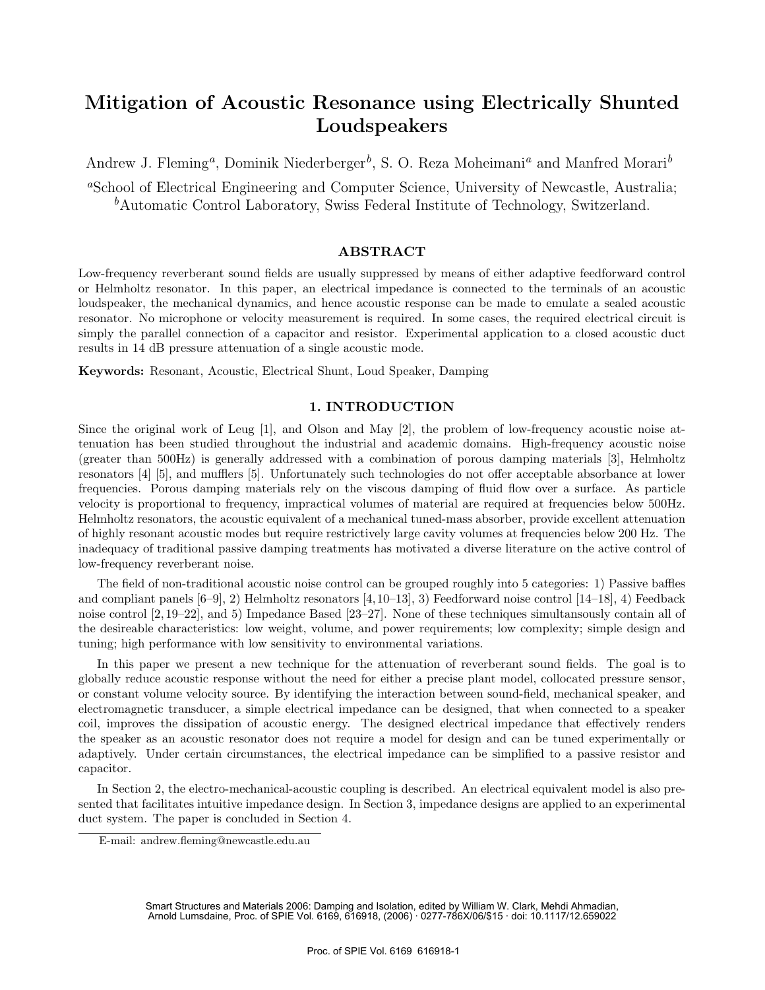# **Mitigation of Acoustic Resonance using Electrically Shunted Loudspeakers**

Andrew J. Fleming*a*, Dominik Niederberger*b*, S. O. Reza Moheimani*<sup>a</sup>* and Manfred Morari*<sup>b</sup>*

<sup>a</sup>School of Electrical Engineering and Computer Science, University of Newcastle, Australia; *<sup>b</sup>*Automatic Control Laboratory, Swiss Federal Institute of Technology, Switzerland.

## **ABSTRACT**

Low-frequency reverberant sound fields are usually suppressed by means of either adaptive feedforward control or Helmholtz resonator. In this paper, an electrical impedance is connected to the terminals of an acoustic loudspeaker, the mechanical dynamics, and hence acoustic response can be made to emulate a sealed acoustic resonator. No microphone or velocity measurement is required. In some cases, the required electrical circuit is simply the parallel connection of a capacitor and resistor. Experimental application to a closed acoustic duct results in 14 dB pressure attenuation of a single acoustic mode.

**Keywords:** Resonant, Acoustic, Electrical Shunt, Loud Speaker, Damping

## **1. INTRODUCTION**

Since the original work of Leug [1], and Olson and May [2], the problem of low-frequency acoustic noise attenuation has been studied throughout the industrial and academic domains. High-frequency acoustic noise (greater than 500Hz) is generally addressed with a combination of porous damping materials [3], Helmholtz resonators [4] [5], and mufflers [5]. Unfortunately such technologies do not offer acceptable absorbance at lower frequencies. Porous damping materials rely on the viscous damping of fluid flow over a surface. As particle velocity is proportional to frequency, impractical volumes of material are required at frequencies below 500Hz. Helmholtz resonators, the acoustic equivalent of a mechanical tuned-mass absorber, provide excellent attenuation of highly resonant acoustic modes but require restrictively large cavity volumes at frequencies below 200 Hz. The inadequacy of traditional passive damping treatments has motivated a diverse literature on the active control of low-frequency reverberant noise.

The field of non-traditional acoustic noise control can be grouped roughly into 5 categories: 1) Passive baffles and compliant panels [6–9], 2) Helmholtz resonators [4,10–13], 3) Feedforward noise control [14–18], 4) Feedback noise control [2, 19–22], and 5) Impedance Based [23–27]. None of these techniques simultansously contain all of the desireable characteristics: low weight, volume, and power requirements; low complexity; simple design and tuning; high performance with low sensitivity to environmental variations.

In this paper we present a new technique for the attenuation of reverberant sound fields. The goal is to globally reduce acoustic response without the need for either a precise plant model, collocated pressure sensor, or constant volume velocity source. By identifying the interaction between sound-field, mechanical speaker, and electromagnetic transducer, a simple electrical impedance can be designed, that when connected to a speaker coil, improves the dissipation of acoustic energy. The designed electrical impedance that effectively renders the speaker as an acoustic resonator does not require a model for design and can be tuned experimentally or adaptively. Under certain circumstances, the electrical impedance can be simplified to a passive resistor and capacitor.

In Section 2, the electro-mechanical-acoustic coupling is described. An electrical equivalent model is also presented that facilitates intuitive impedance design. In Section 3, impedance designs are applied to an experimental duct system. The paper is concluded in Section 4.

Smart Structures and Materials 2006: Damping and Isolation, edited by William W. Clark, Mehdi Ahmadian, Arnold Lumsdaine, Proc. of SPIE Vol. 6169, 616918, (2006) · 0277-786X/06/\$15 · doi: 10.1117/12.659022

E-mail: andrew.fleming@newcastle.edu.au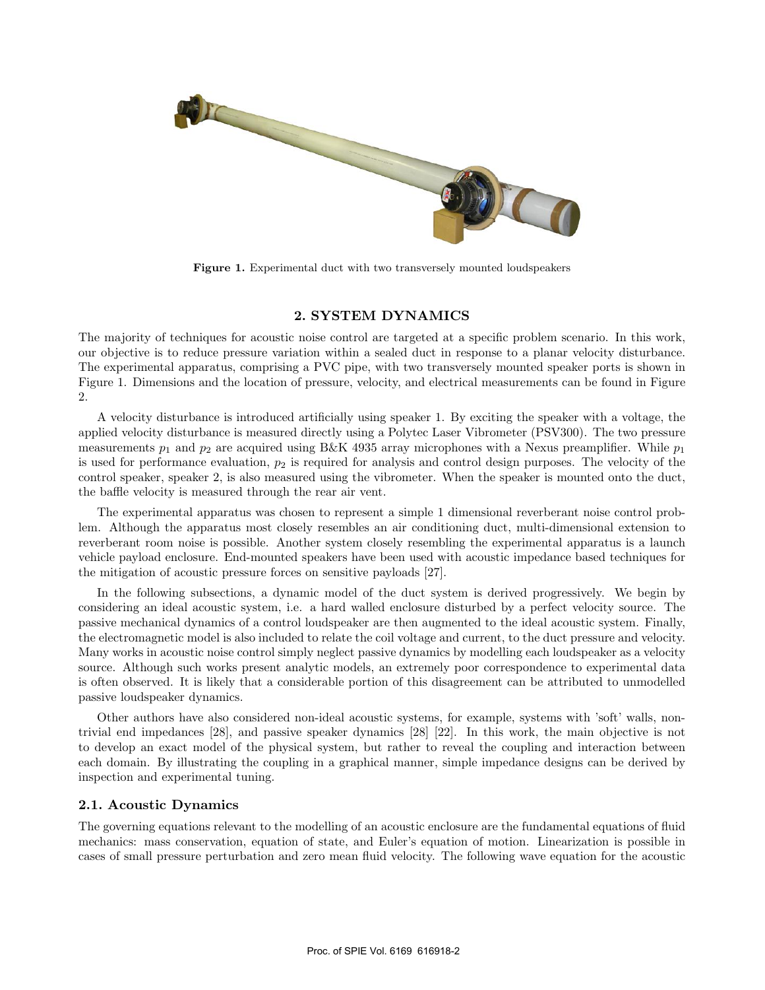

**Figure 1.** Experimental duct with two transversely mounted loudspeakers

## **2. SYSTEM DYNAMICS**

The majority of techniques for acoustic noise control are targeted at a specific problem scenario. In this work, our objective is to reduce pressure variation within a sealed duct in response to a planar velocity disturbance. The experimental apparatus, comprising a PVC pipe, with two transversely mounted speaker ports is shown in Figure 1. Dimensions and the location of pressure, velocity, and electrical measurements can be found in Figure 2.

A velocity disturbance is introduced artificially using speaker 1. By exciting the speaker with a voltage, the applied velocity disturbance is measured directly using a Polytec Laser Vibrometer (PSV300). The two pressure measurements  $p_1$  and  $p_2$  are acquired using B&K 4935 array microphones with a Nexus preamplifier. While  $p_1$ is used for performance evaluation,  $p_2$  is required for analysis and control design purposes. The velocity of the control speaker, speaker 2, is also measured using the vibrometer. When the speaker is mounted onto the duct, the baffle velocity is measured through the rear air vent.

The experimental apparatus was chosen to represent a simple 1 dimensional reverberant noise control problem. Although the apparatus most closely resembles an air conditioning duct, multi-dimensional extension to reverberant room noise is possible. Another system closely resembling the experimental apparatus is a launch vehicle payload enclosure. End-mounted speakers have been used with acoustic impedance based techniques for the mitigation of acoustic pressure forces on sensitive payloads [27].

In the following subsections, a dynamic model of the duct system is derived progressively. We begin by considering an ideal acoustic system, i.e. a hard walled enclosure disturbed by a perfect velocity source. The passive mechanical dynamics of a control loudspeaker are then augmented to the ideal acoustic system. Finally, the electromagnetic model is also included to relate the coil voltage and current, to the duct pressure and velocity. Many works in acoustic noise control simply neglect passive dynamics by modelling each loudspeaker as a velocity source. Although such works present analytic models, an extremely poor correspondence to experimental data is often observed. It is likely that a considerable portion of this disagreement can be attributed to unmodelled passive loudspeaker dynamics.

Other authors have also considered non-ideal acoustic systems, for example, systems with 'soft' walls, nontrivial end impedances [28], and passive speaker dynamics [28] [22]. In this work, the main objective is not to develop an exact model of the physical system, but rather to reveal the coupling and interaction between each domain. By illustrating the coupling in a graphical manner, simple impedance designs can be derived by inspection and experimental tuning.

## **2.1. Acoustic Dynamics**

The governing equations relevant to the modelling of an acoustic enclosure are the fundamental equations of fluid mechanics: mass conservation, equation of state, and Euler's equation of motion. Linearization is possible in cases of small pressure perturbation and zero mean fluid velocity. The following wave equation for the acoustic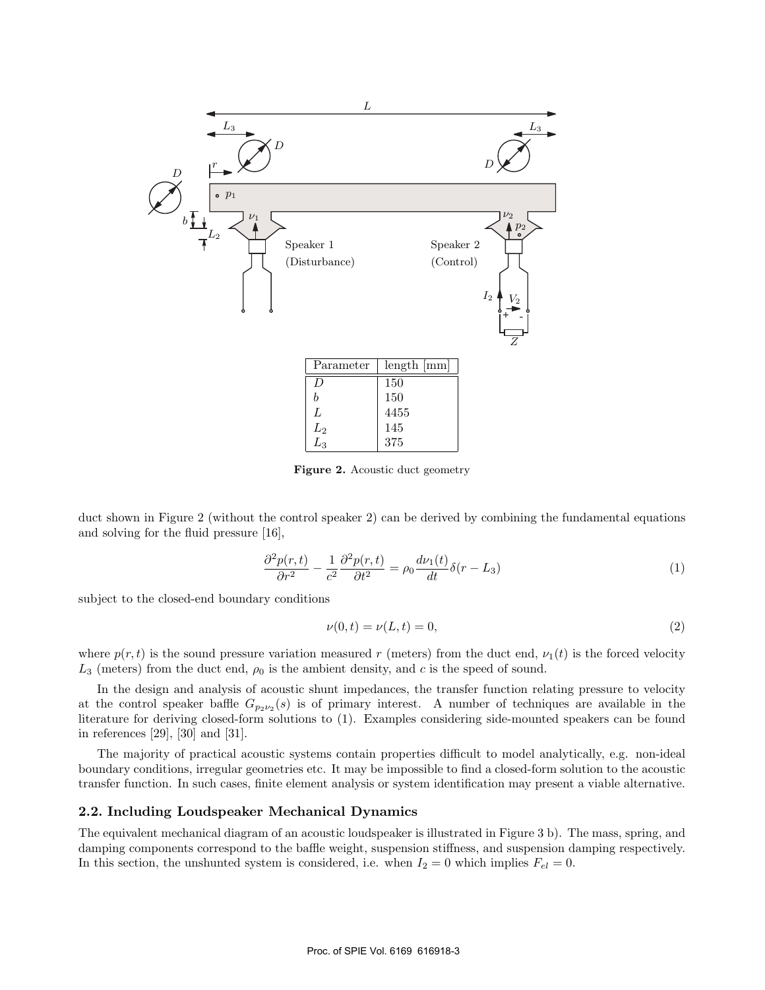

**Figure 2.** Acoustic duct geometry

duct shown in Figure 2 (without the control speaker 2) can be derived by combining the fundamental equations and solving for the fluid pressure [16],

$$
\frac{\partial^2 p(r,t)}{\partial r^2} - \frac{1}{c^2} \frac{\partial^2 p(r,t)}{\partial t^2} = \rho_0 \frac{d\nu_1(t)}{dt} \delta(r - L_3)
$$
\n(1)

subject to the closed-end boundary conditions

$$
\nu(0, t) = \nu(L, t) = 0,\tag{2}
$$

where  $p(r, t)$  is the sound pressure variation measured r (meters) from the duct end,  $\nu_1(t)$  is the forced velocity  $L_3$  (meters) from the duct end,  $\rho_0$  is the ambient density, and c is the speed of sound.

In the design and analysis of acoustic shunt impedances, the transfer function relating pressure to velocity at the control speaker baffle  $G_{p_2\nu_2}(s)$  is of primary interest. A number of techniques are available in the literature for deriving closed-form solutions to (1). Examples considering side-mounted speakers can be found in references [29], [30] and [31].

The majority of practical acoustic systems contain properties difficult to model analytically, e.g. non-ideal boundary conditions, irregular geometries etc. It may be impossible to find a closed-form solution to the acoustic transfer function. In such cases, finite element analysis or system identification may present a viable alternative.

## **2.2. Including Loudspeaker Mechanical Dynamics**

The equivalent mechanical diagram of an acoustic loudspeaker is illustrated in Figure 3 b). The mass, spring, and damping components correspond to the baffle weight, suspension stiffness, and suspension damping respectively. In this section, the unshunted system is considered, i.e. when  $I_2 = 0$  which implies  $F_{el} = 0$ .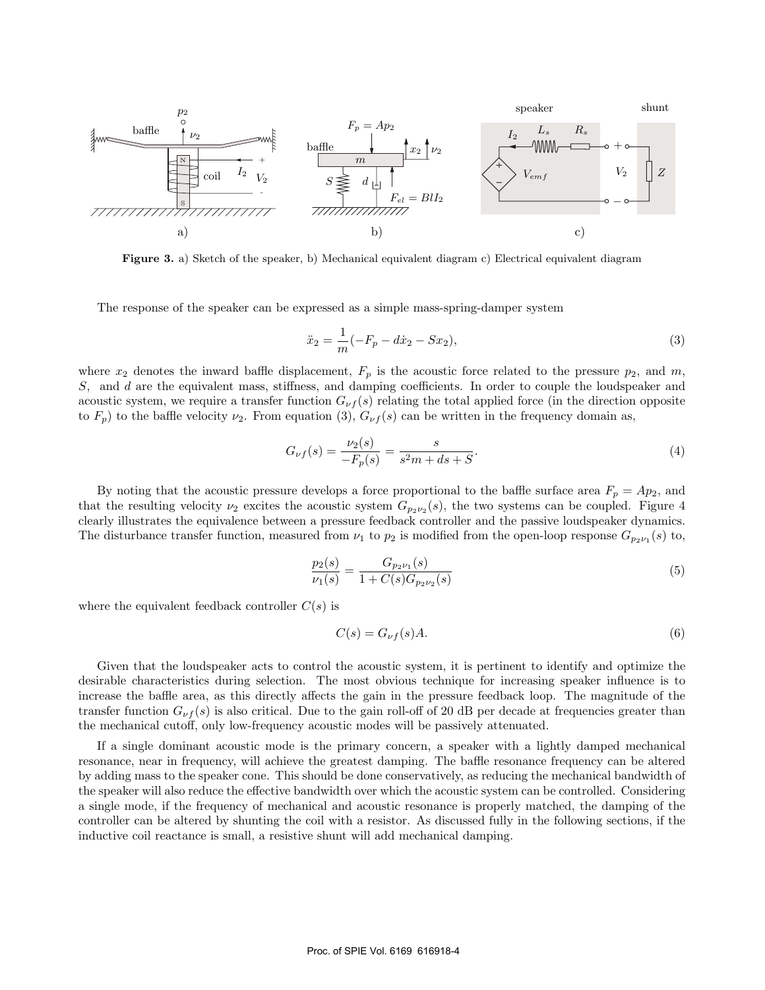

**Figure 3.** a) Sketch of the speaker, b) Mechanical equivalent diagram c) Electrical equivalent diagram

The response of the speaker can be expressed as a simple mass-spring-damper system

$$
\ddot{x}_2 = \frac{1}{m}(-F_p - d\dot{x}_2 - Sx_2),\tag{3}
$$

where  $x_2$  denotes the inward baffle displacement,  $F_p$  is the acoustic force related to the pressure  $p_2$ , and m, S, and d are the equivalent mass, stiffness, and damping coefficients. In order to couple the loudspeaker and acoustic system, we require a transfer function  $G_{\nu f}(s)$  relating the total applied force (in the direction opposite to  $F_p$ ) to the baffle velocity  $\nu_2$ . From equation (3),  $G_{\nu f}(s)$  can be written in the frequency domain as,

$$
G_{\nu f}(s) = \frac{\nu_2(s)}{-F_p(s)} = \frac{s}{s^2 m + ds + S}.
$$
\n(4)

By noting that the acoustic pressure develops a force proportional to the baffle surface area  $F_p = Ap_2$ , and that the resulting velocity  $\nu_2$  excites the acoustic system  $G_{p_2\nu_2}(s)$ , the two systems can be coupled. Figure 4 clearly illustrates the equivalence between a pressure feedback controller and the passive loudspeaker dynamics. The disturbance transfer function, measured from  $\nu_1$  to  $p_2$  is modified from the open-loop response  $G_{p_2\nu_1}(s)$  to,

$$
\frac{p_2(s)}{\nu_1(s)} = \frac{G_{p_2\nu_1}(s)}{1 + C(s)G_{p_2\nu_2}(s)}\tag{5}
$$

where the equivalent feedback controller  $C(s)$  is

$$
C(s) = G_{\nu f}(s)A.
$$
\n<sup>(6)</sup>

Given that the loudspeaker acts to control the acoustic system, it is pertinent to identify and optimize the desirable characteristics during selection. The most obvious technique for increasing speaker influence is to increase the baffle area, as this directly affects the gain in the pressure feedback loop. The magnitude of the transfer function  $G_{\nu f}(s)$  is also critical. Due to the gain roll-off of 20 dB per decade at frequencies greater than the mechanical cutoff, only low-frequency acoustic modes will be passively attenuated.

If a single dominant acoustic mode is the primary concern, a speaker with a lightly damped mechanical resonance, near in frequency, will achieve the greatest damping. The baffle resonance frequency can be altered by adding mass to the speaker cone. This should be done conservatively, as reducing the mechanical bandwidth of the speaker will also reduce the effective bandwidth over which the acoustic system can be controlled. Considering a single mode, if the frequency of mechanical and acoustic resonance is properly matched, the damping of the controller can be altered by shunting the coil with a resistor. As discussed fully in the following sections, if the inductive coil reactance is small, a resistive shunt will add mechanical damping.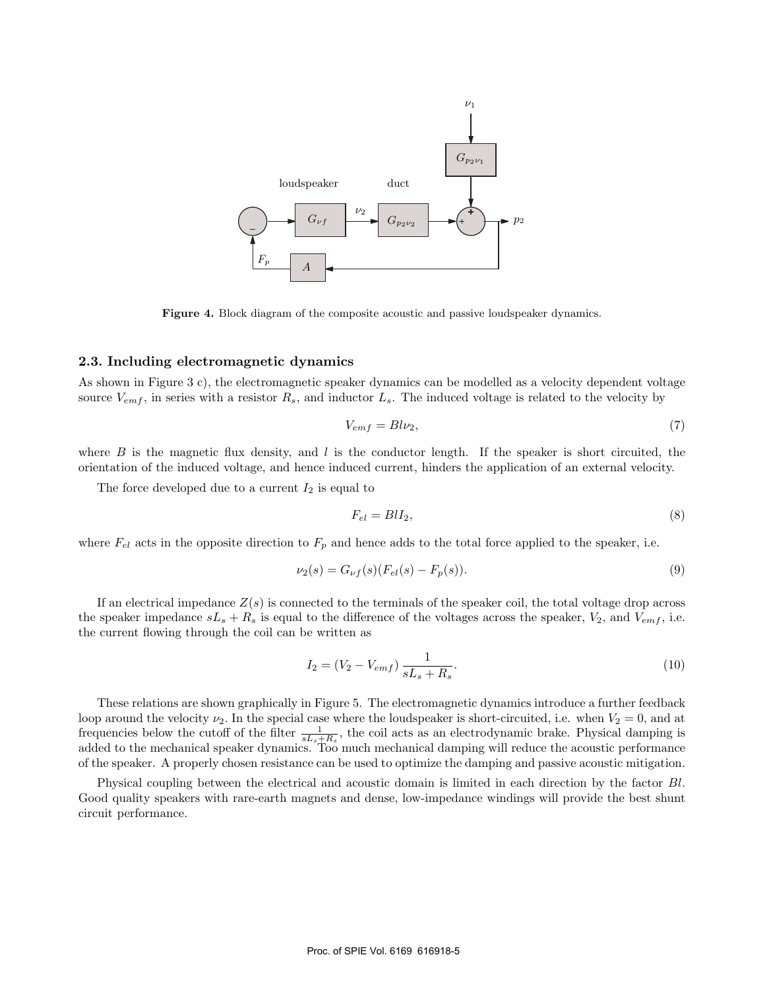

**Figure 4.** Block diagram of the composite acoustic and passive loudspeaker dynamics.

#### **2.3. Including electromagnetic dynamics**

As shown in Figure 3 c), the electromagnetic speaker dynamics can be modelled as a velocity dependent voltage source  $V_{emf}$ , in series with a resistor  $R_s$ , and inductor  $L_s$ . The induced voltage is related to the velocity by

$$
V_{emf} = Bl\nu_2,\tag{7}
$$

where  $B$  is the magnetic flux density, and  $l$  is the conductor length. If the speaker is short circuited, the orientation of the induced voltage, and hence induced current, hinders the application of an external velocity.

The force developed due to a current  $I_2$  is equal to

$$
F_{el} = B l I_2,\tag{8}
$$

where  $F_{el}$  acts in the opposite direction to  $F_p$  and hence adds to the total force applied to the speaker, i.e.

$$
\nu_2(s) = G_{\nu f}(s)(F_{el}(s) - F_p(s)).
$$
\n(9)

If an electrical impedance  $Z(s)$  is connected to the terminals of the speaker coil, the total voltage drop across the speaker impedance  $sL_s + R_s$  is equal to the difference of the voltages across the speaker,  $V_2$ , and  $V_{emf}$ , i.e. the current flowing through the coil can be written as

$$
I_2 = (V_2 - V_{emf}) \frac{1}{sL_s + R_s}.\tag{10}
$$

These relations are shown graphically in Figure 5. The electromagnetic dynamics introduce a further feedback loop around the velocity  $\nu_2$ . In the special case where the loudspeaker is short-circuited, i.e. when  $V_2 = 0$ , and at frequencies below the cutoff of the filter  $\frac{1}{sL_s+R_s}$ , the coil acts as an electrodynamic brake. Physical damping is added to the mechanical speaker dynamics. Too much mechanical damping will reduce the acoustic performance of the speaker. A properly chosen resistance can be used to optimize the damping and passive acoustic mitigation.

Physical coupling between the electrical and acoustic domain is limited in each direction by the factor Bl. Good quality speakers with rare-earth magnets and dense, low-impedance windings will provide the best shunt circuit performance.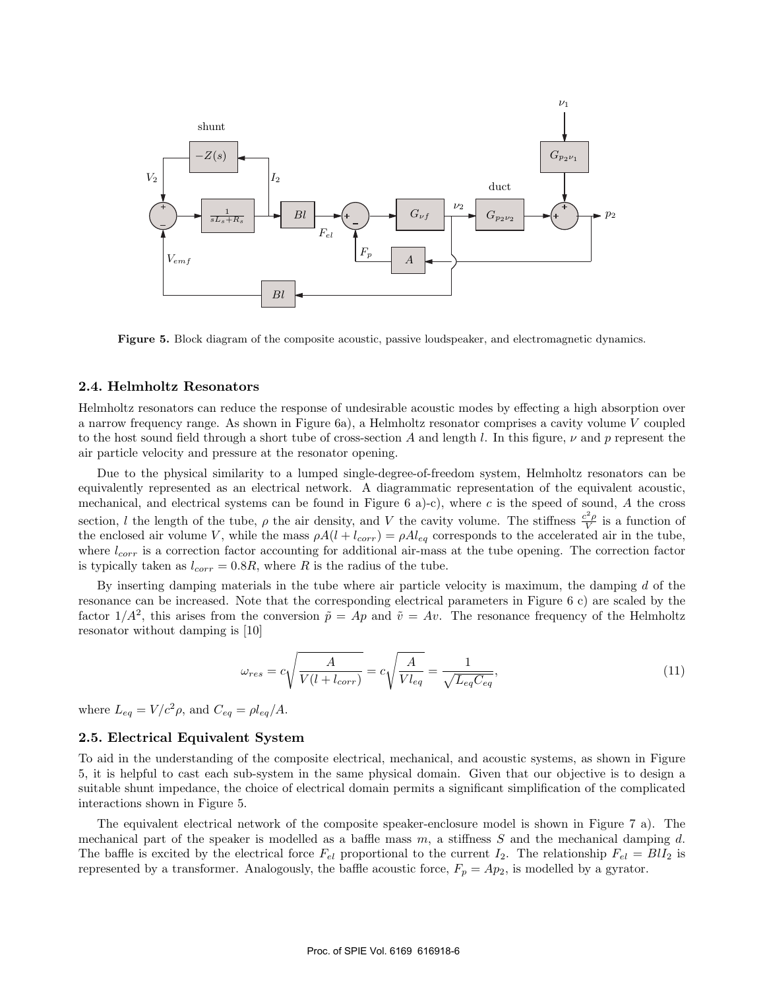

**Figure 5.** Block diagram of the composite acoustic, passive loudspeaker, and electromagnetic dynamics.

#### **2.4. Helmholtz Resonators**

Helmholtz resonators can reduce the response of undesirable acoustic modes by effecting a high absorption over a narrow frequency range. As shown in Figure 6a), a Helmholtz resonator comprises a cavity volume V coupled to the host sound field through a short tube of cross-section A and length l. In this figure,  $\nu$  and  $p$  represent the air particle velocity and pressure at the resonator opening.

Due to the physical similarity to a lumped single-degree-of-freedom system, Helmholtz resonators can be equivalently represented as an electrical network. A diagrammatic representation of the equivalent acoustic, mechanical, and electrical systems can be found in Figure 6 a)-c), where c is the speed of sound, A the cross section, l the length of the tube,  $\rho$  the air density, and V the cavity volume. The stiffness  $\frac{c^2 \rho}{V}$  is a function of the enclosed air volume V, while the mass  $\rho A(l + l_{corr}) = \rho A l_{eq}$  corresponds to the accelerated air in the tube, where  $l_{corr}$  is a correction factor accounting for additional air-mass at the tube opening. The correction factor is typically taken as  $l_{corr} = 0.8R$ , where R is the radius of the tube.

By inserting damping materials in the tube where air particle velocity is maximum, the damping d of the resonance can be increased. Note that the corresponding electrical parameters in Figure 6 c) are scaled by the factor  $1/A^2$ , this arises from the conversion  $\tilde{p} = Ap$  and  $\tilde{v} = Av$ . The resonance frequency of the Helmholtz resonator without damping is [10]

$$
\omega_{res} = c \sqrt{\frac{A}{V(l + l_{corr})}} = c \sqrt{\frac{A}{V l_{eq}}} = \frac{1}{\sqrt{L_{eq} C_{eq}}},\tag{11}
$$

where  $L_{eq} = V/c^2 \rho$ , and  $C_{eq} = \rho l_{eq} / A$ .

#### **2.5. Electrical Equivalent System**

To aid in the understanding of the composite electrical, mechanical, and acoustic systems, as shown in Figure 5, it is helpful to cast each sub-system in the same physical domain. Given that our objective is to design a suitable shunt impedance, the choice of electrical domain permits a significant simplification of the complicated interactions shown in Figure 5.

The equivalent electrical network of the composite speaker-enclosure model is shown in Figure 7 a). The mechanical part of the speaker is modelled as a baffle mass  $m$ , a stiffness  $S$  and the mechanical damping  $d$ . The baffle is excited by the electrical force  $F_{el}$  proportional to the current  $I_2$ . The relationship  $F_{el} = B I I_2$  is represented by a transformer. Analogously, the baffle acoustic force,  $F_p = Ap_2$ , is modelled by a gyrator.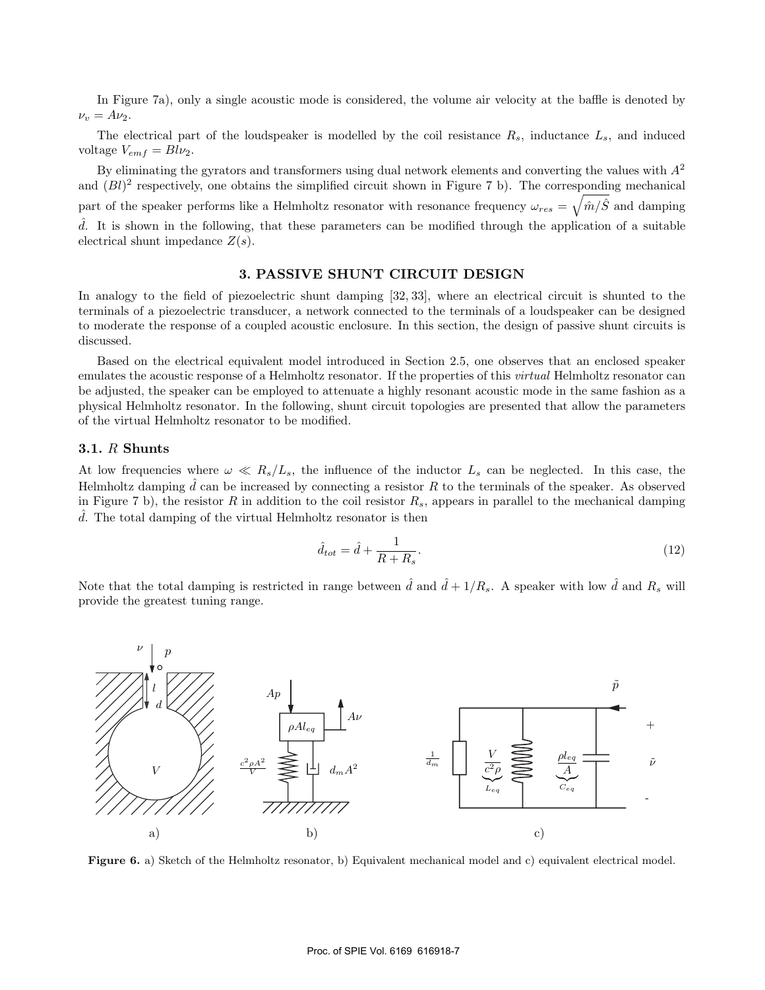In Figure 7a), only a single acoustic mode is considered, the volume air velocity at the baffle is denoted by  $\nu_v = A\nu_2.$ 

The electrical part of the loudspeaker is modelled by the coil resistance  $R_s$ , inductance  $L_s$ , and induced voltage  $V_{emf} = Bl\nu_2$ .

By eliminating the gyrators and transformers using dual network elements and converting the values with  $A<sup>2</sup>$ and  $(Bl)^2$  respectively, one obtains the simplified circuit shown in Figure 7 b). The corresponding mechanical part of the speaker performs like a Helmholtz resonator with resonance frequency  $\omega_{res} = \sqrt{\hat{m}/\hat{S}}$  and damping  $\hat{d}$ . It is shown in the following, that these parameters can be modified through the application of a suitable electrical shunt impedance  $Z(s)$ .

## **3. PASSIVE SHUNT CIRCUIT DESIGN**

In analogy to the field of piezoelectric shunt damping [32, 33], where an electrical circuit is shunted to the terminals of a piezoelectric transducer, a network connected to the terminals of a loudspeaker can be designed to moderate the response of a coupled acoustic enclosure. In this section, the design of passive shunt circuits is discussed.

Based on the electrical equivalent model introduced in Section 2.5, one observes that an enclosed speaker emulates the acoustic response of a Helmholtz resonator. If the properties of this *virtual* Helmholtz resonator can be adjusted, the speaker can be employed to attenuate a highly resonant acoustic mode in the same fashion as a physical Helmholtz resonator. In the following, shunt circuit topologies are presented that allow the parameters of the virtual Helmholtz resonator to be modified.

#### **3.1.** R **Shunts**

At low frequencies where  $\omega \ll R_s/L_s$ , the influence of the inductor  $L_s$  can be neglected. In this case, the Helmholtz damping  $\hat{d}$  can be increased by connecting a resistor R to the terminals of the speaker. As observed in Figure 7 b), the resistor R in addition to the coil resistor  $R_s$ , appears in parallel to the mechanical damping  $\hat{d}$ . The total damping of the virtual Helmholtz resonator is then

$$
\hat{d}_{tot} = \hat{d} + \frac{1}{R + R_s}.\tag{12}
$$

Note that the total damping is restricted in range between  $\hat{d}$  and  $\hat{d} + 1/R_s$ . A speaker with low  $\hat{d}$  and  $R_s$  will provide the greatest tuning range.



**Figure 6.** a) Sketch of the Helmholtz resonator, b) Equivalent mechanical model and c) equivalent electrical model.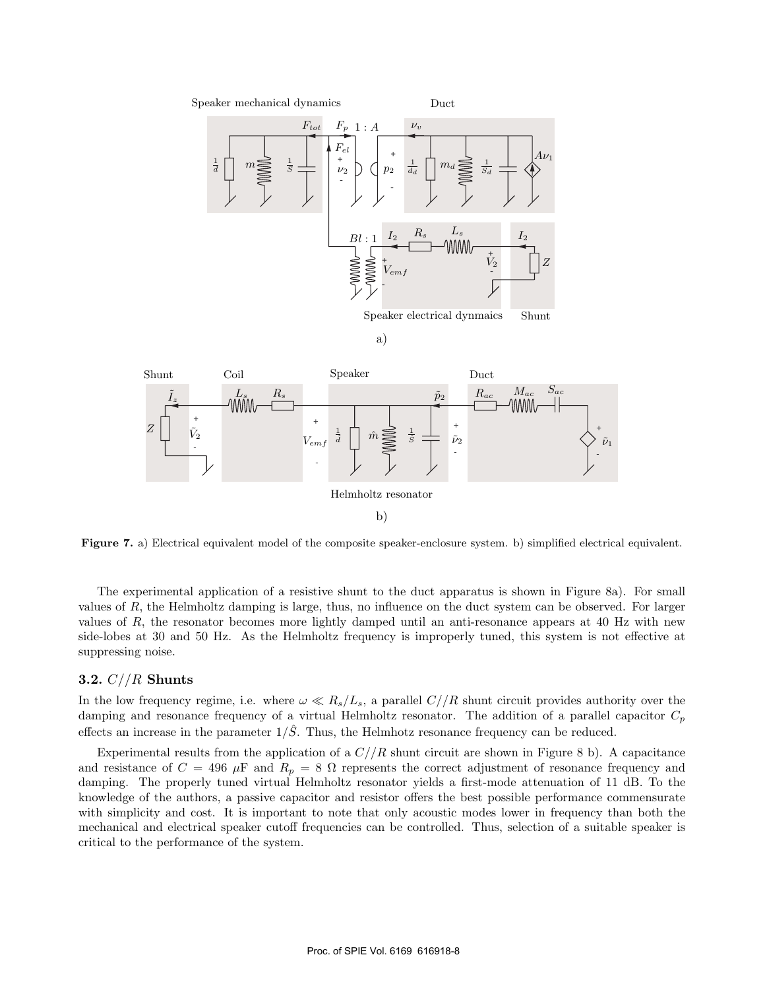Speaker mechanical dynamics

Duct



a)



b)

**Figure 7.** a) Electrical equivalent model of the composite speaker-enclosure system. b) simplified electrical equivalent.

The experimental application of a resistive shunt to the duct apparatus is shown in Figure 8a). For small values of R, the Helmholtz damping is large, thus, no influence on the duct system can be observed. For larger values of R, the resonator becomes more lightly damped until an anti-resonance appears at 40 Hz with new side-lobes at 30 and 50 Hz. As the Helmholtz frequency is improperly tuned, this system is not effective at suppressing noise.

## **3.2.** C//R **Shunts**

In the low frequency regime, i.e. where  $\omega \ll R_s/L_s$ , a parallel  $C//R$  shunt circuit provides authority over the damping and resonance frequency of a virtual Helmholtz resonator. The addition of a parallel capacitor  $C_p$ effects an increase in the parameter  $1/\hat{S}$ . Thus, the Helmhotz resonance frequency can be reduced.

Experimental results from the application of a  $C//R$  shunt circuit are shown in Figure 8 b). A capacitance and resistance of  $C = 496 \mu F$  and  $R_p = 8 \Omega$  represents the correct adjustment of resonance frequency and damping. The properly tuned virtual Helmholtz resonator yields a first-mode attenuation of 11 dB. To the knowledge of the authors, a passive capacitor and resistor offers the best possible performance commensurate with simplicity and cost. It is important to note that only acoustic modes lower in frequency than both the mechanical and electrical speaker cutoff frequencies can be controlled. Thus, selection of a suitable speaker is critical to the performance of the system.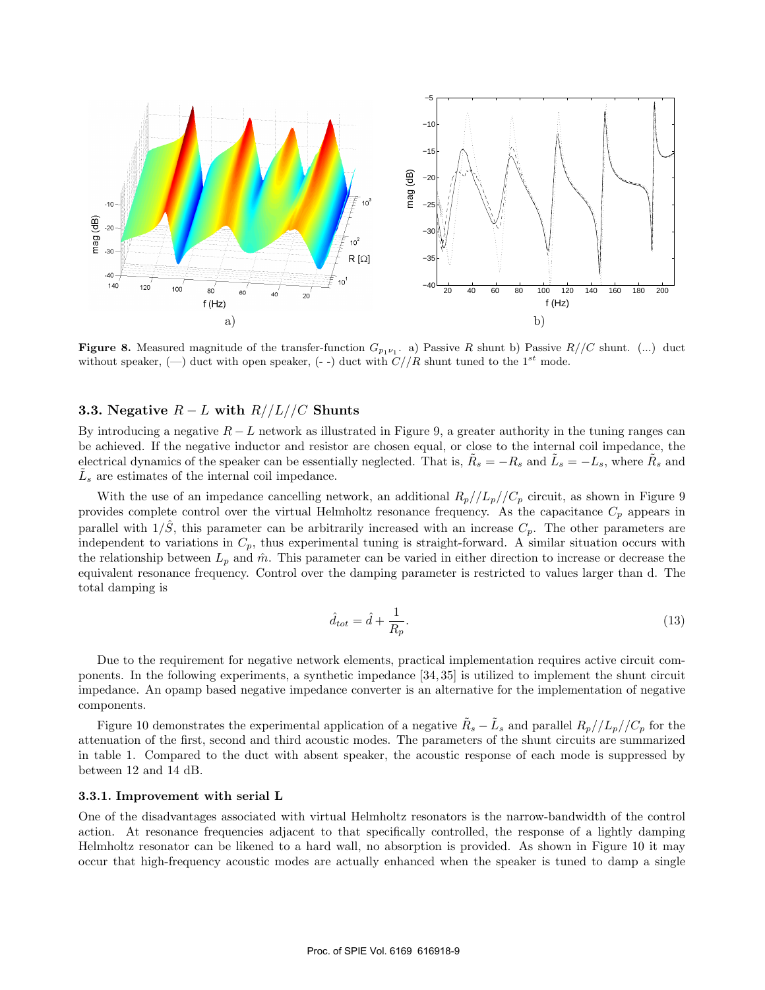

**Figure 8.** Measured magnitude of the transfer-function  $G_{p_1v_1}$ . a) Passive R shunt b) Passive  $R//C$  shunt. (...) duct without speaker, (-) duct with open speaker, (--) duct with  $C//R$  shunt tuned to the 1<sup>st</sup> mode.

## **3.3.** Negative  $R - L$  with  $R / L / C$  Shunts

By introducing a negative  $R-L$  network as illustrated in Figure 9, a greater authority in the tuning ranges can be achieved. If the negative inductor and resistor are chosen equal, or close to the internal coil impedance, the electrical dynamics of the speaker can be essentially neglected. That is,  $R_s = -R_s$  and  $\tilde{L}_s = -L_s$ , where  $\tilde{R}_s$  and  $\tilde{L}_s$  are estimates of the internal coil impedance.

With the use of an impedance cancelling network, an additional  $R_p//L_p//C_p$  circuit, as shown in Figure 9 provides complete control over the virtual Helmholtz resonance frequency. As the capacitance  $C_p$  appears in parallel with  $1/\hat{S}$ , this parameter can be arbitrarily increased with an increase  $C_p$ . The other parameters are independent to variations in  $C_p$ , thus experimental tuning is straight-forward. A similar situation occurs with the relationship between  $L_p$  and  $\hat{m}$ . This parameter can be varied in either direction to increase or decrease the equivalent resonance frequency. Control over the damping parameter is restricted to values larger than d. The total damping is

$$
\hat{d}_{tot} = \hat{d} + \frac{1}{R_p}.\tag{13}
$$

Due to the requirement for negative network elements, practical implementation requires active circuit components. In the following experiments, a synthetic impedance [34, 35] is utilized to implement the shunt circuit impedance. An opamp based negative impedance converter is an alternative for the implementation of negative components.

Figure 10 demonstrates the experimental application of a negative  $R_s - L_s$  and parallel  $R_p//L_p//C_p$  for the attenuation of the first, second and third acoustic modes. The parameters of the shunt circuits are summarized in table 1. Compared to the duct with absent speaker, the acoustic response of each mode is suppressed by between 12 and 14 dB.

#### **3.3.1. Improvement with serial L**

One of the disadvantages associated with virtual Helmholtz resonators is the narrow-bandwidth of the control action. At resonance frequencies adjacent to that specifically controlled, the response of a lightly damping Helmholtz resonator can be likened to a hard wall, no absorption is provided. As shown in Figure 10 it may occur that high-frequency acoustic modes are actually enhanced when the speaker is tuned to damp a single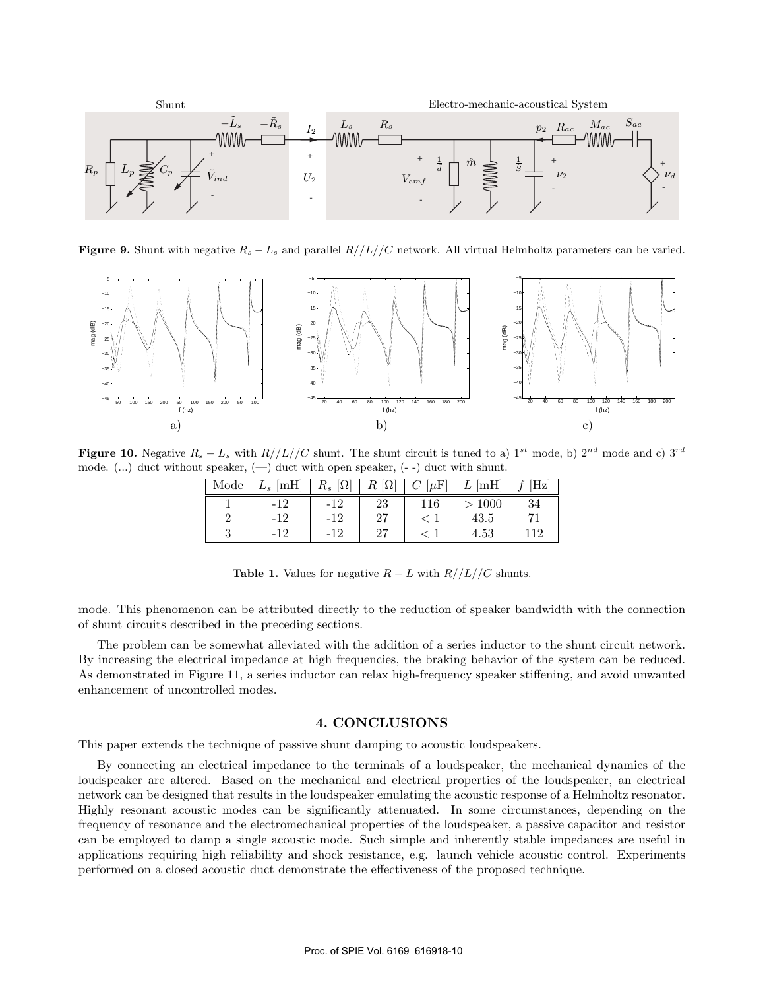

**Figure 9.** Shunt with negative  $R_s - L_s$  and parallel  $R/|L|/|C$  network. All virtual Helmholtz parameters can be varied.



**Figure 10.** Negative  $R_s - L_s$  with  $R//L//C$  shunt. The shunt circuit is tuned to a) 1<sup>st</sup> mode, b) 2<sup>nd</sup> mode and c) 3<sup>rd</sup> mode. (...) duct without speaker,  $(-)$  duct with open speaker,  $(-)$  duct with shunt.

| Mode | $L_s$ [mH] | $R_s \left[ \Omega \right]$ | $R_{\parallel}$<br>$ \Omega $ | $C[\mu F]$ | $L$ [mH] |    |
|------|------------|-----------------------------|-------------------------------|------------|----------|----|
|      |            | $-12$                       | 23                            | 116        | >1000    | 34 |
|      | -12        | $-12$                       | 27                            |            | 43.5     |    |
|      |            | -12                         |                               |            | 4.53     |    |

| <b>Table 1.</b> Values for negative $R - L$ with $R//L//C$ shunts. |  |  |  |  |  |
|--------------------------------------------------------------------|--|--|--|--|--|
|                                                                    |  |  |  |  |  |

mode. This phenomenon can be attributed directly to the reduction of speaker bandwidth with the connection of shunt circuits described in the preceding sections.

The problem can be somewhat alleviated with the addition of a series inductor to the shunt circuit network. By increasing the electrical impedance at high frequencies, the braking behavior of the system can be reduced. As demonstrated in Figure 11, a series inductor can relax high-frequency speaker stiffening, and avoid unwanted enhancement of uncontrolled modes.

#### **4. CONCLUSIONS**

This paper extends the technique of passive shunt damping to acoustic loudspeakers.

By connecting an electrical impedance to the terminals of a loudspeaker, the mechanical dynamics of the loudspeaker are altered. Based on the mechanical and electrical properties of the loudspeaker, an electrical network can be designed that results in the loudspeaker emulating the acoustic response of a Helmholtz resonator. Highly resonant acoustic modes can be significantly attenuated. In some circumstances, depending on the frequency of resonance and the electromechanical properties of the loudspeaker, a passive capacitor and resistor can be employed to damp a single acoustic mode. Such simple and inherently stable impedances are useful in applications requiring high reliability and shock resistance, e.g. launch vehicle acoustic control. Experiments performed on a closed acoustic duct demonstrate the effectiveness of the proposed technique.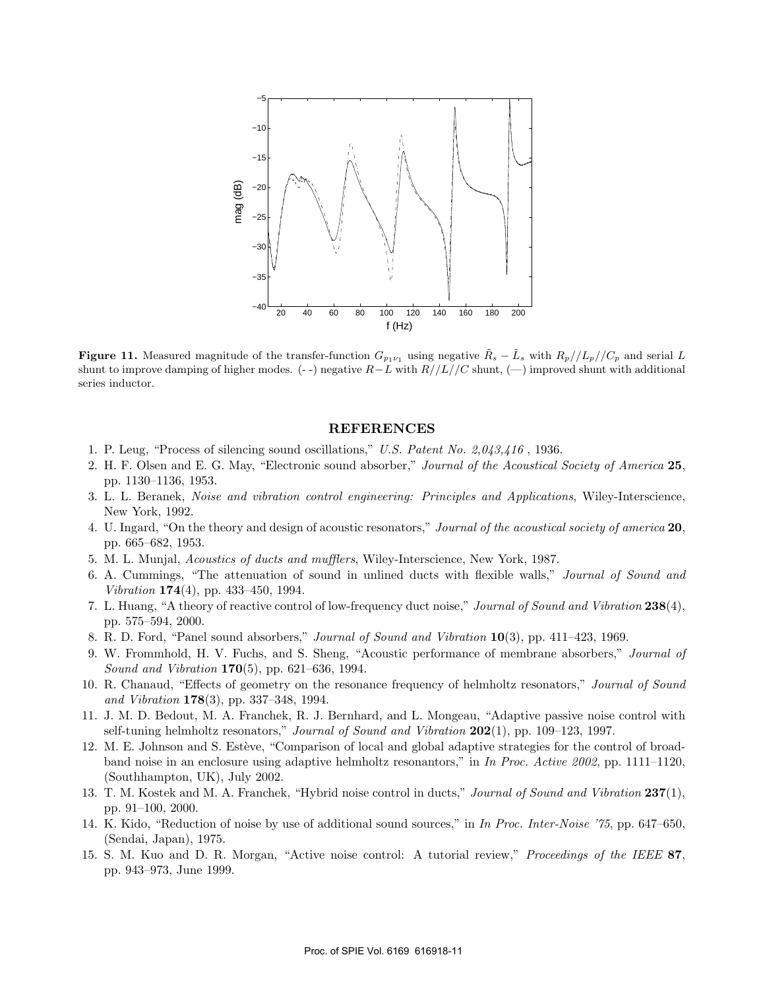

**Figure 11.** Measured magnitude of the transfer-function  $G_{p_1\nu_1}$  using negative  $\tilde{R}_s - \tilde{L}_s$  with  $R_p//L_p//C_p$  and serial L shunt to improve damping of higher modes. (- -) negative <sup>R</sup>*−*<sup>L</sup> with R//L//C shunt, (—) improved shunt with additional series inductor.

#### **REFERENCES**

- 1. P. Leug, "Process of silencing sound oscillations," *U.S. Patent No. 2,043,416* , 1936.
- 2. H. F. Olsen and E. G. May, "Electronic sound absorber," *Journal of the Acoustical Society of America* **25**, pp. 1130–1136, 1953.
- 3. L. L. Beranek, *Noise and vibration control engineering: Principles and Applications*, Wiley-Interscience, New York, 1992.
- 4. U. Ingard, "On the theory and design of acoustic resonators," *Journal of the acoustical society of america* **20**, pp. 665–682, 1953.
- 5. M. L. Munjal, *Acoustics of ducts and mufflers*, Wiley-Interscience, New York, 1987.
- 6. A. Cummings, "The attenuation of sound in unlined ducts with flexible walls," *Journal of Sound and Vibration* **174**(4), pp. 433–450, 1994.
- 7. L. Huang, "A theory of reactive control of low-frequency duct noise," *Journal of Sound and Vibration* **238**(4), pp. 575–594, 2000.
- 8. R. D. Ford, "Panel sound absorbers," *Journal of Sound and Vibration* **10**(3), pp. 411–423, 1969.
- 9. W. Frommhold, H. V. Fuchs, and S. Sheng, "Acoustic performance of membrane absorbers," *Journal of Sound and Vibration* **170**(5), pp. 621–636, 1994.
- 10. R. Chanaud, "Effects of geometry on the resonance frequency of helmholtz resonators," *Journal of Sound and Vibration* **178**(3), pp. 337–348, 1994.
- 11. J. M. D. Bedout, M. A. Franchek, R. J. Bernhard, and L. Mongeau, "Adaptive passive noise control with self-tuning helmholtz resonators," *Journal of Sound and Vibration* **202**(1), pp. 109–123, 1997.
- 12. M. E. Johnson and S. Estève, "Comparison of local and global adaptive strategies for the control of broadband noise in an enclosure using adaptive helmholtz resonantors," in *In Proc. Active 2002*, pp. 1111–1120, (Southhampton, UK), July 2002.
- 13. T. M. Kostek and M. A. Franchek, "Hybrid noise control in ducts," *Journal of Sound and Vibration* **237**(1), pp. 91–100, 2000.
- 14. K. Kido, "Reduction of noise by use of additional sound sources," in *In Proc. Inter-Noise '75*, pp. 647–650, (Sendai, Japan), 1975.
- 15. S. M. Kuo and D. R. Morgan, "Active noise control: A tutorial review," *Proceedings of the IEEE* **87**, pp. 943–973, June 1999.